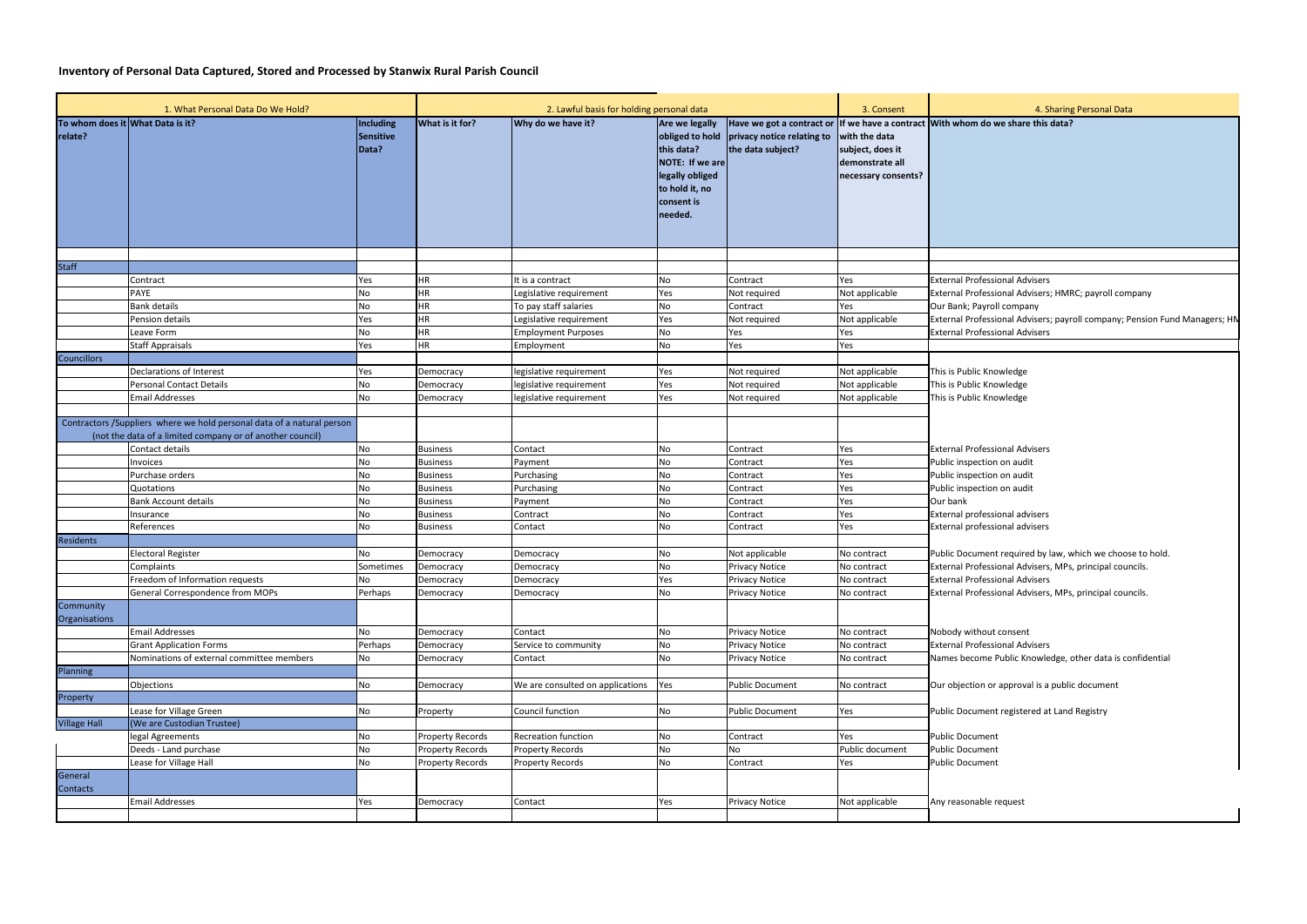## **Inventory of Personal Data Captured, Stored and Processed by Stanwix Rural Parish Council**

|                      | 1. What Personal Data Do We Hold?                                                                                                    | 2. Lawful basis for holding personal data |                         |                                                  |                                                                                                                                  | 3. Consent                                      | 4. S                                                                        |                                                                                |
|----------------------|--------------------------------------------------------------------------------------------------------------------------------------|-------------------------------------------|-------------------------|--------------------------------------------------|----------------------------------------------------------------------------------------------------------------------------------|-------------------------------------------------|-----------------------------------------------------------------------------|--------------------------------------------------------------------------------|
| relate?              | To whom does it What Data is it?                                                                                                     | Including<br><b>Sensitive</b><br>Data?    | What is it for?         | Why do we have it?                               | Are we legally<br>obliged to hold<br>this data?<br>NOTE: If we are<br>legally obliged<br>to hold it, no<br>consent is<br>needed. | privacy notice relating to<br>the data subject? | with the data<br>subject, does it<br>demonstrate all<br>necessary consents? | Have we got a contract or If we have a contract With whom do we share this     |
|                      |                                                                                                                                      |                                           |                         |                                                  |                                                                                                                                  |                                                 |                                                                             |                                                                                |
| <b>Staff</b>         |                                                                                                                                      |                                           | <b>HR</b>               |                                                  |                                                                                                                                  |                                                 |                                                                             |                                                                                |
|                      | Contract<br><b>PAYE</b>                                                                                                              | Yes<br><b>No</b>                          | <b>HR</b>               | t is a contract                                  | No                                                                                                                               | Contract                                        | Yes                                                                         | <b>External Professional Advisers</b><br><b>External Professional Advisers</b> |
|                      | <b>Bank details</b>                                                                                                                  | <b>No</b>                                 | HR                      | Legislative requirement<br>To pay staff salaries | Yes<br>No                                                                                                                        | Not required<br>Contract                        | Not applicable<br>Yes                                                       | Our Bank; Payroll company                                                      |
|                      | Pension details                                                                                                                      | Yes                                       | <b>HR</b>               | Legislative requirement                          | Yes                                                                                                                              | Not required                                    | Not applicable                                                              | <b>External Professional Advisers</b>                                          |
|                      | Leave Form                                                                                                                           | <b>No</b>                                 | HR                      | <b>Employment Purposes</b>                       | No                                                                                                                               | Yes                                             | Yes                                                                         | <b>External Professional Advisers</b>                                          |
|                      | <b>Staff Appraisals</b>                                                                                                              | Yes                                       | <b>HR</b>               | Employment                                       | No                                                                                                                               | Yes                                             | Yes                                                                         |                                                                                |
| <b>Councillors</b>   |                                                                                                                                      |                                           |                         |                                                  |                                                                                                                                  |                                                 |                                                                             |                                                                                |
|                      | Declarations of Interest                                                                                                             | Yes                                       | Democracy               | legislative requirement                          | Yes                                                                                                                              | Not required                                    | Not applicable                                                              | This is Public Knowledge                                                       |
|                      | <b>Personal Contact Details</b>                                                                                                      | <b>No</b>                                 | Democracy               | legislative requirement                          | Yes                                                                                                                              | Not required                                    | Not applicable                                                              | This is Public Knowledge                                                       |
|                      | <b>Email Addresses</b>                                                                                                               | <b>No</b>                                 | Democracy               | legislative requirement                          | Yes                                                                                                                              | Not required                                    | Not applicable                                                              | This is Public Knowledge                                                       |
|                      |                                                                                                                                      |                                           |                         |                                                  |                                                                                                                                  |                                                 |                                                                             |                                                                                |
|                      | Contractors / Suppliers where we hold personal data of a natural person<br>(not the data of a limited company or of another council) |                                           |                         |                                                  |                                                                                                                                  |                                                 |                                                                             |                                                                                |
|                      | Contact details                                                                                                                      | No                                        | <b>Business</b>         | Contact                                          | No                                                                                                                               | Contract                                        | Yes                                                                         | <b>External Professional Advisers</b>                                          |
|                      | Invoices                                                                                                                             | <b>No</b>                                 | <b>Business</b>         | Payment                                          | No                                                                                                                               | Contract                                        | Yes                                                                         | Public inspection on audit                                                     |
|                      | Purchase orders                                                                                                                      | No                                        | <b>Business</b>         | Purchasing                                       | No                                                                                                                               | Contract                                        | Yes                                                                         | Public inspection on audit                                                     |
|                      | Quotations                                                                                                                           | <b>No</b>                                 | <b>Business</b>         | Purchasing                                       | No                                                                                                                               | Contract                                        | Yes                                                                         | Public inspection on audit                                                     |
|                      | <b>Bank Account details</b>                                                                                                          | <b>No</b>                                 | <b>Business</b>         | Payment                                          | No                                                                                                                               | Contract                                        | Yes                                                                         | Our bank                                                                       |
|                      | Insurance                                                                                                                            | <b>No</b>                                 | <b>Business</b>         | Contract                                         | No                                                                                                                               | Contract                                        | Yes                                                                         | External professional advisers                                                 |
|                      | References                                                                                                                           | <b>No</b>                                 | <b>Business</b>         | Contact                                          | No                                                                                                                               | Contract                                        | Yes                                                                         | External professional advisers                                                 |
| <b>Residents</b>     |                                                                                                                                      |                                           |                         |                                                  |                                                                                                                                  |                                                 |                                                                             |                                                                                |
|                      | <b>Electoral Register</b>                                                                                                            | <b>No</b>                                 | Democracy               | Democracy                                        | No                                                                                                                               | Not applicable                                  | No contract                                                                 | Public Document required by                                                    |
|                      | Complaints                                                                                                                           | Sometimes                                 | Democracy               | Democracy                                        | No                                                                                                                               | <b>Privacy Notice</b>                           | No contract                                                                 | <b>External Professional Advisers</b>                                          |
|                      | Freedom of Information requests                                                                                                      | <b>No</b>                                 | Democracy               | Democracy                                        | Yes                                                                                                                              | <b>Privacy Notice</b>                           | No contract                                                                 | <b>External Professional Advisers</b>                                          |
| Community            | General Correspondence from MOPs                                                                                                     | Perhaps                                   | Democracy               | Democracy                                        | No                                                                                                                               | <b>Privacy Notice</b>                           | No contract                                                                 | <b>External Professional Advisers</b>                                          |
| <b>Organisations</b> |                                                                                                                                      |                                           |                         |                                                  |                                                                                                                                  |                                                 |                                                                             |                                                                                |
|                      | <b>Email Addresses</b>                                                                                                               | <b>No</b>                                 | Democracy               | Contact                                          | No                                                                                                                               | <b>Privacy Notice</b>                           | No contract                                                                 | Nobody without consent                                                         |
|                      | <b>Grant Application Forms</b>                                                                                                       | Perhaps                                   | Democracy               | Service to community                             | <b>No</b>                                                                                                                        | <b>Privacy Notice</b>                           | No contract                                                                 | <b>External Professional Advisers</b>                                          |
|                      | Nominations of external committee members                                                                                            | <b>No</b>                                 | Democracy               | Contact                                          | <b>No</b>                                                                                                                        | <b>Privacy Notice</b>                           | No contract                                                                 | Names become Public Knowle                                                     |
| Planning             |                                                                                                                                      |                                           |                         |                                                  |                                                                                                                                  |                                                 |                                                                             |                                                                                |
|                      | Objections                                                                                                                           | <b>No</b>                                 | Democracy               | We are consulted on applications                 | Yes                                                                                                                              | <b>Public Document</b>                          | No contract                                                                 | Our objection or approval is a                                                 |
| Property             |                                                                                                                                      |                                           |                         |                                                  |                                                                                                                                  |                                                 |                                                                             |                                                                                |
|                      | Lease for Village Green                                                                                                              | <b>No</b>                                 | Property                | Council function                                 | <b>No</b>                                                                                                                        | <b>Public Document</b>                          | Yes                                                                         | Public Document registered a                                                   |
| <b>Village Hall</b>  | (We are Custodian Trustee)                                                                                                           |                                           |                         |                                                  |                                                                                                                                  |                                                 |                                                                             |                                                                                |
|                      | legal Agreements                                                                                                                     | No<br>No                                  | <b>Property Records</b> | Recreation function                              | No                                                                                                                               | Contract                                        | Yes<br>Public document                                                      | <b>Public Document</b><br><b>Public Document</b>                               |
|                      | Deeds - Land purchase<br>Lease for Village Hall                                                                                      | <b>No</b>                                 | <b>Property Records</b> | <b>Property Records</b>                          | No<br><b>No</b>                                                                                                                  | No<br>Contract                                  |                                                                             | <b>Public Document</b>                                                         |
| General              |                                                                                                                                      |                                           | <b>Property Records</b> | <b>Property Records</b>                          |                                                                                                                                  |                                                 | Yes                                                                         |                                                                                |
| Contacts             |                                                                                                                                      |                                           |                         |                                                  |                                                                                                                                  |                                                 |                                                                             |                                                                                |
|                      | <b>Email Addresses</b>                                                                                                               | Yes                                       | Democracy               | Contact                                          | Yes                                                                                                                              | <b>Privacy Notice</b>                           | Not applicable                                                              | Any reasonable request                                                         |
|                      |                                                                                                                                      |                                           |                         |                                                  |                                                                                                                                  |                                                 |                                                                             |                                                                                |

## 4. Sharing Personal Data

**we share this data?** 

essional Advisers; HMRC; payroll company **Exional Advisers; payroll company; Pension Fund Managers; HN** 

nent required by law, which we choose to hold. essional Advisers, MPs, principal councils. essional Advisers, MPs, principal councils.

me Public Knowledge, other data is confidential

n or approval is a public document

Lent registered at Land Registry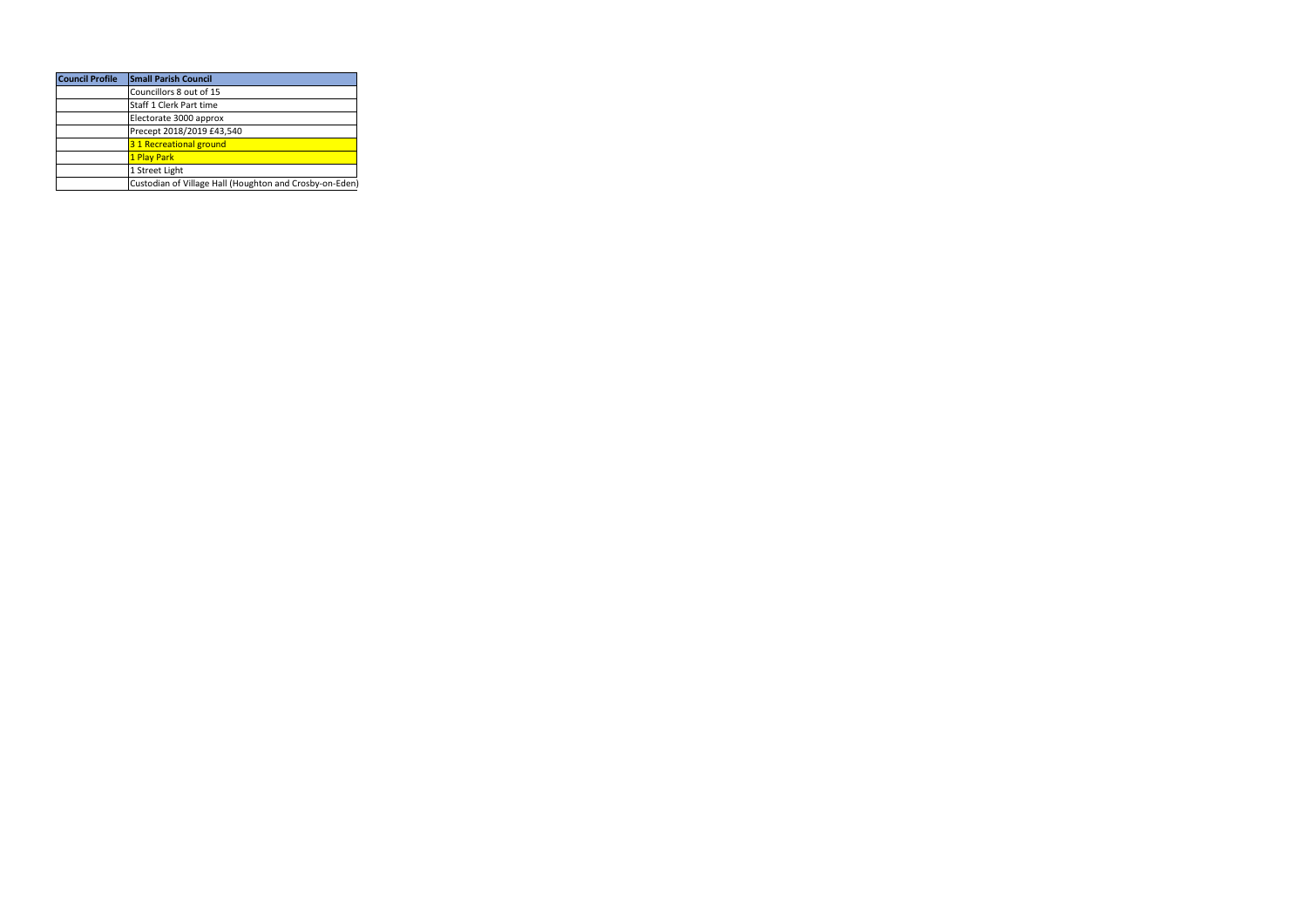| <b>Council Profile</b> | <b>Small Parish Council</b>                             |
|------------------------|---------------------------------------------------------|
|                        | Councillors 8 out of 15                                 |
|                        | Staff 1 Clerk Part time                                 |
|                        | Electorate 3000 approx                                  |
|                        | Precept 2018/2019 £43,540                               |
|                        | 31 Recreational ground                                  |
|                        | 1 Play Park                                             |
|                        | 1 Street Light                                          |
|                        | Custodian of Village Hall (Houghton and Crosby-on-Eden) |